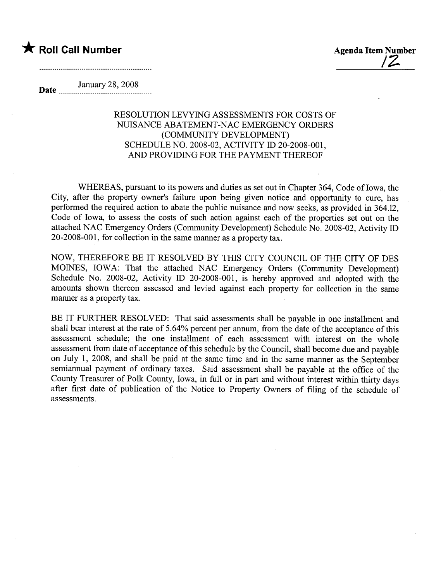## \* Roll Call Number Agenda Item Number

/2-

Date January 28, 2008

## RESOLUTION LEVYING ASSESSMENTS FOR COSTS OF NUSANCE ABATEMENT-NAC EMERGENCY ORDERS (COMMUNITY DEVELOPMENT) SCHEDULE NO. 2008-02, ACTNITY ID 20-2008-001, AND PROVIDING FOR THE PAYMENT THEREOF

WHEREAS, pursuant to its powers and duties as set out in Chapter 364, Code of Iowa, the City, after the property owner's failure upon being given notice and opportunity to cure, has performed the required action to abate the public nuisance and now seeks, as provided in 364.12, Code of Iowa, to assess the costs of such action against each of the properties set out on the attached NAC Emergency Orders (Community Development) Schedule No. 2008-02, Activity ID 20-2008-001, for collection in the same manner as a property tax.

NOW, THEREFORE BE IT RESOLVED BY THIS CITY COUNCIL OF THE CITY OF DES MOINES, IOWA: That the attached NAC Emergency Orders (Community Development) Schedule No. 2008-02, Activity ID 20-2008-001, is hereby approved and adopted with the amounts shown thereon assessed and levied against each property for collection in the same manner as a property tax.

BE IT FURTHER RESOLVED: That said assessments shall be payable in one installment and shall bear interest at the rate of 5.64% percent per annum, from the date of the acceptance of this assessment schedule; the one installment of each assessment with interest on the whole assessment from date of acceptance of this schedule by the Council, shall become due and payable on July 1, 2008, and shall be paid at the same time and in the same manner as the September semiannual payment of ordinary taxes. Said assessment shall be payable at the office of the County Treasurer of Polk County, Iowa, in full or in part and without interest within thirty days after first date of publication of the Notice to Property Owners of fiing of the schedule of assessments.